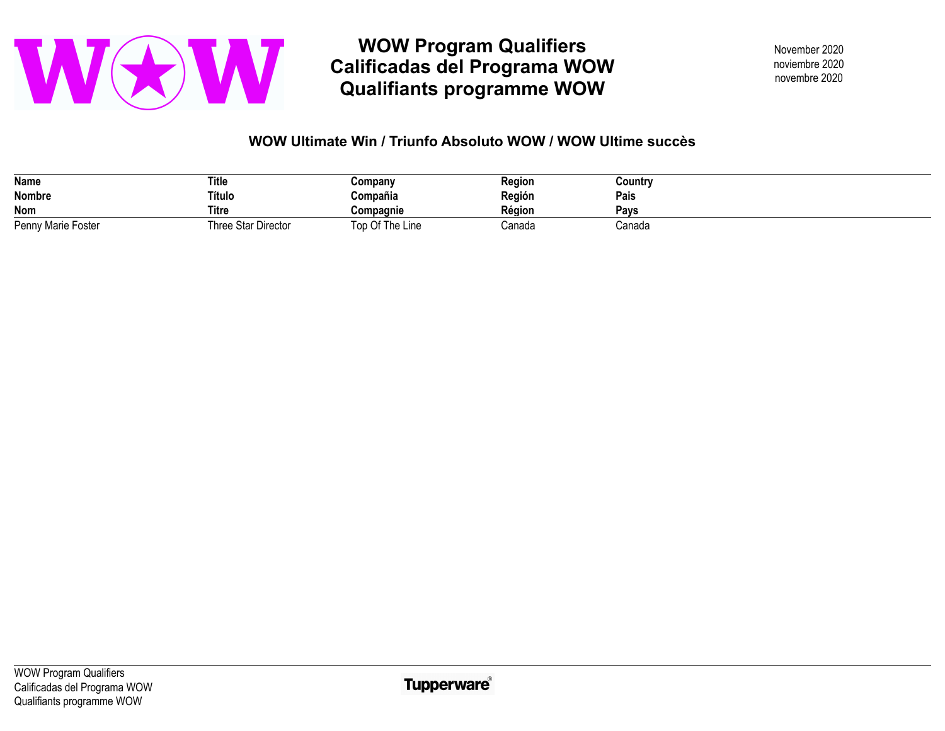

**WOW Program Qualifiers Calificadas del Programa WOW Qualifiants programme WOW** 

November 2020 novembre 2020 noviembre 2020

## **WOW Ultimate Win / Triunfo Absoluto WOW / WOW Ultime succès**

| Name               | <b>Title</b>        | Company         | <b>Region</b> | Country |
|--------------------|---------------------|-----------------|---------------|---------|
| Nombre             | Título              | Compañia        | Región        | Pais    |
| <b>Nom</b>         | <b>Titre</b>        | Compagnie       | Région        | Pavs    |
| Penny Marie Foster | Three Star Director | Top Of The Line | Canada        | Canada  |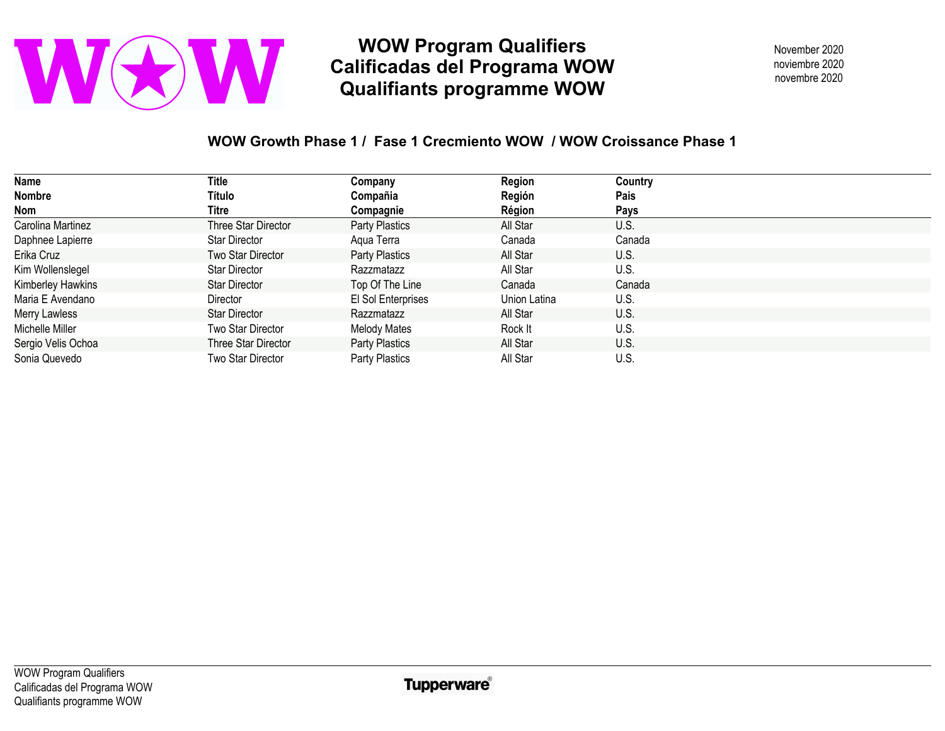

**WOW Program Qualifiers Calificadas del Programa WOW Qualifiants programme WOW** 

November 2020 novembre 2020 noviembre 2020

## **WOW Growth Phase 1 / Fase 1 Crecmiento WOW / WOW Croissance Phase 1**

| Name               | Title                | Company               | Region       | Country |
|--------------------|----------------------|-----------------------|--------------|---------|
| <b>Nombre</b>      | Título               | Compañia              | Región       | Pais    |
| Nom                | Titre                | Compagnie             | Région       | Pays    |
| Carolina Martinez  | Three Star Director  | Party Plastics        | All Star     | U.S.    |
| Daphnee Lapierre   | <b>Star Director</b> | Aqua Terra            | Canada       | Canada  |
| Erika Cruz         | Two Star Director    | <b>Party Plastics</b> | All Star     | U.S.    |
| Kim Wollenslegel   | <b>Star Director</b> | Razzmatazz            | All Star     | U.S.    |
| Kimberley Hawkins  | Star Director        | Top Of The Line       | Canada       | Canada  |
| Maria E Avendano   | <b>Director</b>      | El Sol Enterprises    | Union Latina | U.S.    |
| Merry Lawless      | <b>Star Director</b> | Razzmatazz            | All Star     | U.S.    |
| Michelle Miller    | Two Star Director    | <b>Melody Mates</b>   | Rock It      | U.S.    |
| Sergio Velis Ochoa | Three Star Director  | Party Plastics        | All Star     | U.S.    |
| Sonia Quevedo      | Two Star Director    | Party Plastics        | All Star     | U.S.    |